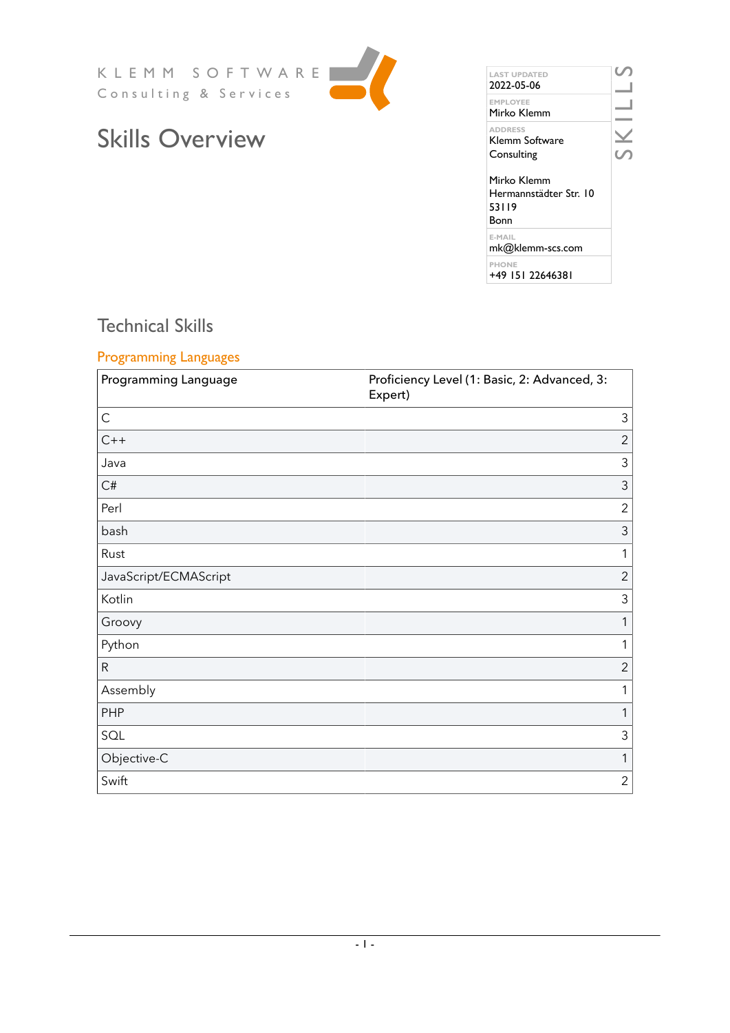KLEMM SOFTWARE Consulting & Services



# Skills Overview

| <b>LAST UPDATED</b><br>2022-05-06                      |  |
|--------------------------------------------------------|--|
| <b>FMPI OYFF</b><br>Mirko Klemm                        |  |
| <b>ADDRESS</b><br>Klemm Software<br>Consulting         |  |
| Mirko Klemm<br>Hermannstädter Str. 10<br>53119<br>Bonn |  |
| F-MAIL<br>mk@klemm-scs.com                             |  |
| <b>PHONE</b><br>+49 151 22646381                       |  |

## Technical Skills

#### Programming Languages

| Programming Language  | Proficiency Level (1: Basic, 2: Advanced, 3:<br>Expert) |
|-----------------------|---------------------------------------------------------|
| $\mathsf{C}$          | 3                                                       |
| $C++$                 | $\overline{2}$                                          |
| Java                  | $\mathfrak{Z}$                                          |
| C#                    | $\mathfrak{Z}$                                          |
| Perl                  | $\overline{2}$                                          |
| bash                  | $\mathfrak{Z}$                                          |
| Rust                  | 1                                                       |
| JavaScript/ECMAScript | $\overline{2}$                                          |
| Kotlin                | $\mathfrak{Z}$                                          |
| Groovy                | 1                                                       |
| Python                | 1                                                       |
| ${\sf R}$             | $\overline{2}$                                          |
| Assembly              | 1                                                       |
| PHP                   | 1                                                       |
| SQL                   | $\mathfrak{Z}$                                          |
| Objective-C           | 1                                                       |
| Swift                 | $\overline{2}$                                          |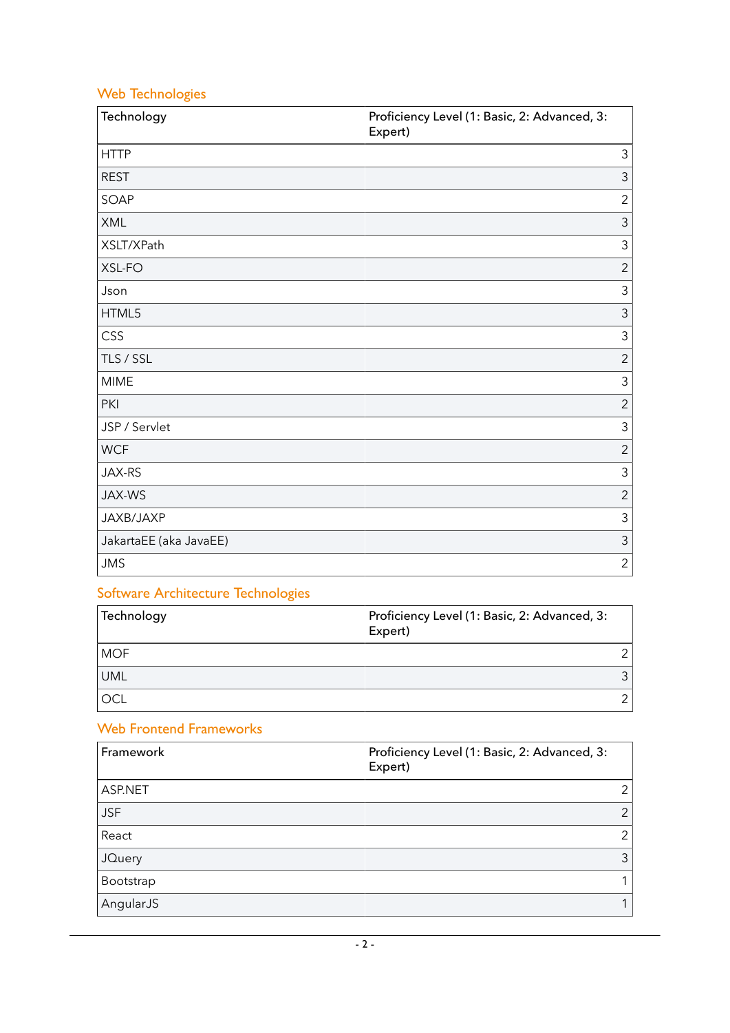## Web Technologies

| Technology             | Proficiency Level (1: Basic, 2: Advanced, 3:<br>Expert) |
|------------------------|---------------------------------------------------------|
| <b>HTTP</b>            | 3                                                       |
| <b>REST</b>            | $\mathfrak{Z}$                                          |
| SOAP                   | $\overline{c}$                                          |
| XML                    | 3                                                       |
| XSLT/XPath             | 3                                                       |
| XSL-FO                 | $\overline{2}$                                          |
| Json                   | 3                                                       |
| HTML5                  | 3                                                       |
| CSS                    | 3                                                       |
| TLS / SSL              | $\overline{2}$                                          |
| <b>MIME</b>            | 3                                                       |
| PKI                    | $\overline{2}$                                          |
| JSP / Servlet          | $\overline{3}$                                          |
| <b>WCF</b>             | $\overline{2}$                                          |
| JAX-RS                 | 3                                                       |
| JAX-WS                 | $\overline{2}$                                          |
| JAXB/JAXP              | 3                                                       |
| JakartaEE (aka JavaEE) | $\mathfrak{Z}$                                          |
| <b>JMS</b>             | $\overline{c}$                                          |

# Software Architecture Technologies

| Technology | Proficiency Level (1: Basic, 2: Advanced, 3:<br>Expert) |
|------------|---------------------------------------------------------|
| <b>MOF</b> |                                                         |
| UML        | 3                                                       |
| OCL        |                                                         |

## Web Frontend Frameworks

| Framework     | Proficiency Level (1: Basic, 2: Advanced, 3:<br>Expert) |
|---------------|---------------------------------------------------------|
| ASP.NET       | 21                                                      |
| <b>JSF</b>    | 2 <sup>1</sup>                                          |
| React         | 2                                                       |
| <b>JQuery</b> | 3                                                       |
| Bootstrap     |                                                         |
| AngularJS     |                                                         |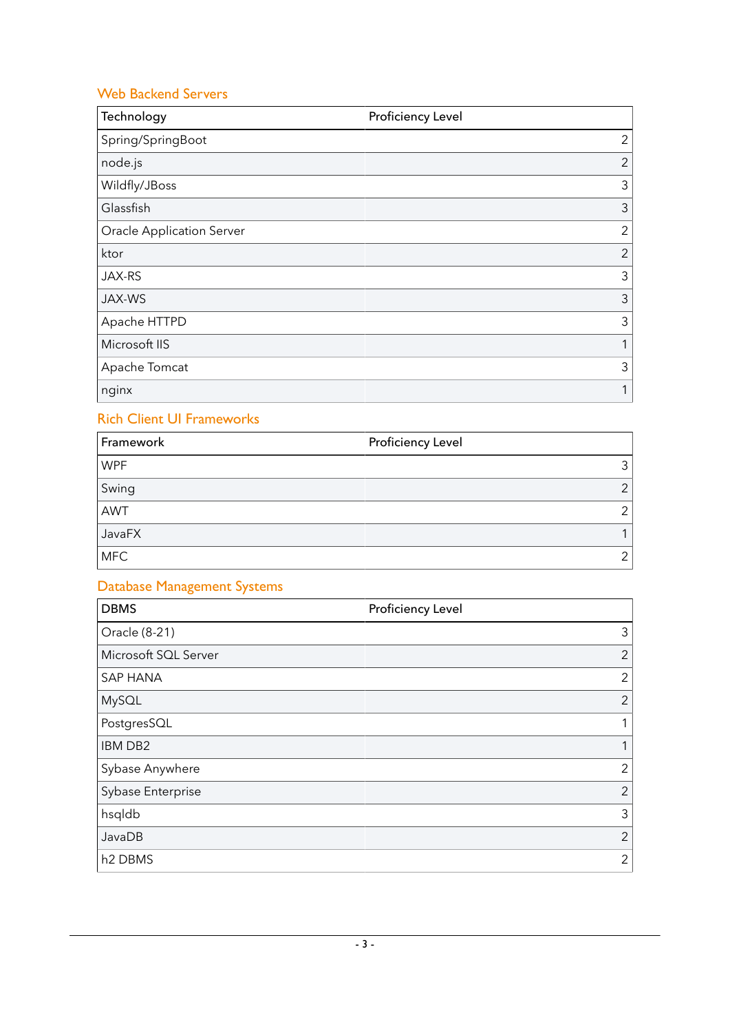### Web Backend Servers

| Technology                       | Proficiency Level |
|----------------------------------|-------------------|
| Spring/SpringBoot                | $\mathbf{2}$      |
| node.js                          | $\overline{2}$    |
| Wildfly/JBoss                    | 3                 |
| Glassfish                        | 3                 |
| <b>Oracle Application Server</b> | $\overline{2}$    |
| ktor                             | $\overline{2}$    |
| JAX-RS                           | 3                 |
| JAX-WS                           | 3                 |
| Apache HTTPD                     | 3                 |
| Microsoft IIS                    | 1                 |
| Apache Tomcat                    | 3                 |
| nginx                            | 1                 |

### Rich Client UI Frameworks

| Framework  | <b>Proficiency Level</b> |
|------------|--------------------------|
| <b>WPF</b> |                          |
| Swing      | ⌒                        |
| AWT        | ⌒                        |
| JavaFX     |                          |
| <b>MFC</b> | ◠                        |

## Database Management Systems

| <b>DBMS</b>          | Proficiency Level |
|----------------------|-------------------|
| Oracle (8-21)        | 3                 |
| Microsoft SQL Server | $\overline{2}$    |
| <b>SAP HANA</b>      | $\overline{2}$    |
| MySQL                | $\overline{2}$    |
| PostgresSQL          |                   |
| <b>IBM DB2</b>       |                   |
| Sybase Anywhere      | $\overline{2}$    |
| Sybase Enterprise    | $\overline{2}$    |
| hsqldb               | 3                 |
| JavaDB               | $\overline{2}$    |
| h <sub>2</sub> DBMS  | $\overline{2}$    |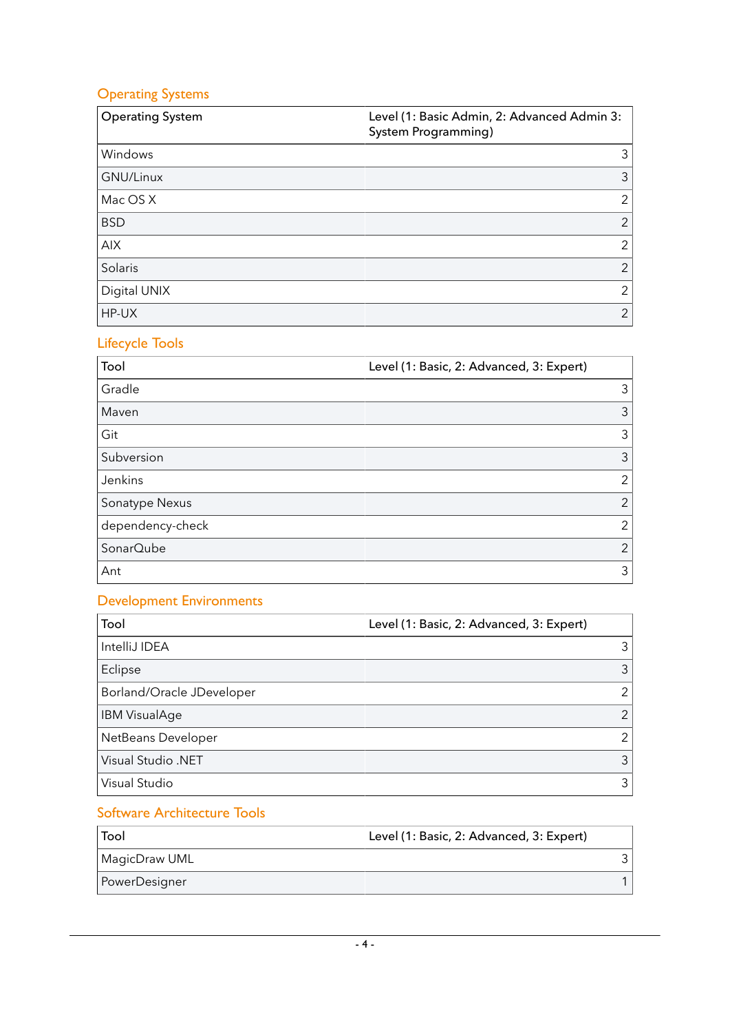## Operating Systems

| <b>Operating System</b> | Level (1: Basic Admin, 2: Advanced Admin 3:<br>System Programming) |
|-------------------------|--------------------------------------------------------------------|
| Windows                 | 3                                                                  |
| GNU/Linux               | 3                                                                  |
| Mac OS X                | 2                                                                  |
| <b>BSD</b>              | $\overline{2}$                                                     |
| <b>AIX</b>              | 2                                                                  |
| Solaris                 | 2                                                                  |
| Digital UNIX            | 2                                                                  |
| HP-UX                   | $\overline{2}$                                                     |

## Lifecycle Tools

| Tool             | Level (1: Basic, 2: Advanced, 3: Expert) |
|------------------|------------------------------------------|
| Gradle           | 3                                        |
| Maven            | 3                                        |
| Git              | 3                                        |
| Subversion       | 3                                        |
| Jenkins          | $\mathcal{P}$                            |
| Sonatype Nexus   | $\overline{2}$                           |
| dependency-check | 2                                        |
| SonarQube        | 2                                        |
| Ant              | 3                                        |

## Development Environments

| Tool                      | Level (1: Basic, 2: Advanced, 3: Expert) |
|---------------------------|------------------------------------------|
| IntelliJ IDEA             | 3                                        |
| Eclipse                   | 3                                        |
| Borland/Oracle JDeveloper | $\overline{2}$                           |
| <b>IBM VisualAge</b>      | $\mathcal{P}$                            |
| NetBeans Developer        | $\mathcal{P}$                            |
| <b>Visual Studio .NET</b> | 3                                        |
| Visual Studio             | 3                                        |

#### Software Architecture Tools

| Tool          | Level (1: Basic, 2: Advanced, 3: Expert) |
|---------------|------------------------------------------|
| MagicDraw UML |                                          |
| PowerDesigner |                                          |